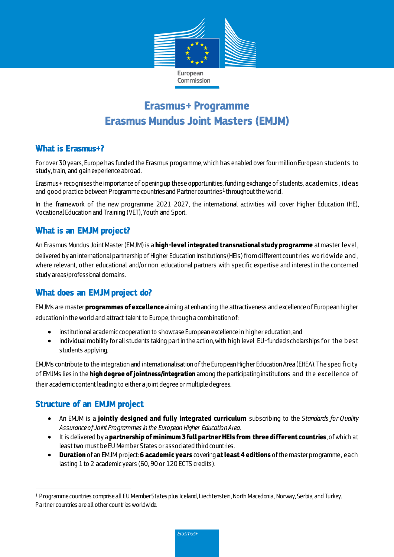

# **Erasmus+ Programme Erasmus Mundus Joint Masters (EMJM)**

### **What is Erasmus+?**

For over 30 years, Europe has funded the Erasmus programme, which has enabled over four million European students to study, train, and gain experience abroad.

Erasmus+ recognises the importance of opening up these opportunities,funding exchange of students, acad emics , id eas and <code>goodpractice</code> between Programme countries and Partner countries  $^1$  throughout the world.

In the framework of the new programme 2021-2027, the international activities will cover Higher Education (HE), Vocational Education and Training (VET), Youth and Sport.

### **What is an EMJM project?**

An Erasmus Mundus Joint Master (EMJM) is a **high-level integrated transnational study programme** at master level, delivered by an international partnership of Higher Education Institutions (HEIs) from different countries wo rldwide and , where relevant, other educational and/or non-educational partners with specific expertise and interest in the concerned study areas/professional domains.

# **What does an EMJMproject do?**

EMJMs are master **programmes of excellence** aiming at enhancing the attractiveness and excellence of European higher education in the world and attract talent to Europe, through a combination of:

- institutional academic cooperation to showcase European excellence in higher education, and
- individual mobility for all students taking part in the action, with high level EU-funded scholarships for the best students applying.

EMJMs contribute to the integration and internationalisation of the European Higher Education Area (EHEA). The specificity of EMJMs lies in the **high degree of jointness/integration** among the participating institutions and th e excellence o f their academic content leading to either a joint degree or multiple degrees.

# **Structure of an EMJM project**

- An EMJM is a **jointly designed and fully integrated curriculum** subscribing to the *Standards for Quality Assurance of Joint Programmes in the European Higher Education Area.*
- It is delivered by a **partnership of minimum 3 full partner HEIs from three different countries**, of which at least two must be EU Member States or associated third countries.
- **Duration** of an EMJM project: **6 academic years** covering **atleast 4 editions** of the master programme, each lasting 1 to 2 academic years (60, 90 or 120 ECTS credits).

Erasmus+

 $\overline{a}$ <sup>1</sup> Programme countries comprise all EU Member States plus Iceland, Liechtenstein, North Macedonia, Norway, Serbia, and Turkey. Partner countries are all other countries worldwide.